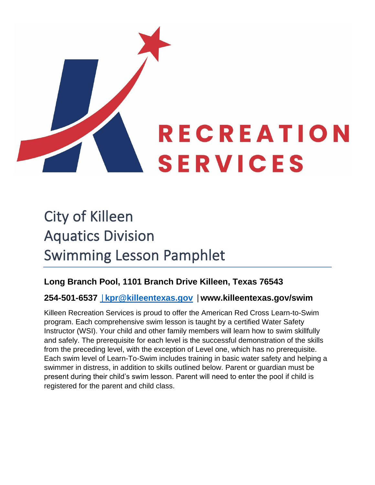

# City of Killeen Aquatics Division Swimming Lesson Pamphlet

### **Long Branch Pool, 1101 Branch Drive Killeen, Texas 76543**

### **254-501-6537 [|](mailto:%7Ckpr@killeentexas.gov)[kpr@killeentexas.gov](mailto:%7Ckpr@killeentexas.gov) |www.killeentexas.gov/swim**

Killeen Recreation Services is proud to offer the American Red Cross Learn-to-Swim program. Each comprehensive swim lesson is taught by a certified Water Safety Instructor (WSI). Your child and other family members will learn how to swim skillfully and safely. The prerequisite for each level is the successful demonstration of the skills from the preceding level, with the exception of Level one, which has no prerequisite. Each swim level of Learn-To-Swim includes training in basic water safety and helping a swimmer in distress, in addition to skills outlined below. Parent or guardian must be present during their child's swim lesson. Parent will need to enter the pool if child is registered for the parent and child class.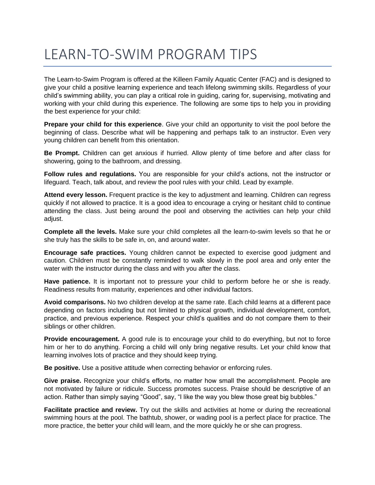# LEARN-TO-SWIM PROGRAM TIPS

The Learn-to-Swim Program is offered at the Killeen Family Aquatic Center (FAC) and is designed to give your child a positive learning experience and teach lifelong swimming skills. Regardless of your child's swimming ability, you can play a critical role in guiding, caring for, supervising, motivating and working with your child during this experience. The following are some tips to help you in providing the best experience for your child:

**Prepare your child for this experience**. Give your child an opportunity to visit the pool before the beginning of class. Describe what will be happening and perhaps talk to an instructor. Even very young children can benefit from this orientation.

**Be Prompt.** Children can get anxious if hurried. Allow plenty of time before and after class for showering, going to the bathroom, and dressing.

**Follow rules and regulations.** You are responsible for your child's actions, not the instructor or lifeguard. Teach, talk about, and review the pool rules with your child. Lead by example.

**Attend every lesson.** Frequent practice is the key to adjustment and learning. Children can regress quickly if not allowed to practice. It is a good idea to encourage a crying or hesitant child to continue attending the class. Just being around the pool and observing the activities can help your child adjust.

**Complete all the levels.** Make sure your child completes all the learn-to-swim levels so that he or she truly has the skills to be safe in, on, and around water.

**Encourage safe practices.** Young children cannot be expected to exercise good judgment and caution. Children must be constantly reminded to walk slowly in the pool area and only enter the water with the instructor during the class and with you after the class.

**Have patience.** It is important not to pressure your child to perform before he or she is ready. Readiness results from maturity, experiences and other individual factors.

**Avoid comparisons.** No two children develop at the same rate. Each child learns at a different pace depending on factors including but not limited to physical growth, individual development, comfort, practice, and previous experience. Respect your child's qualities and do not compare them to their siblings or other children.

**Provide encouragement.** A good rule is to encourage your child to do everything, but not to force him or her to do anything. Forcing a child will only bring negative results. Let your child know that learning involves lots of practice and they should keep trying.

**Be positive.** Use a positive attitude when correcting behavior or enforcing rules.

**Give praise.** Recognize your child's efforts, no matter how small the accomplishment. People are not motivated by failure or ridicule. Success promotes success. Praise should be descriptive of an action. Rather than simply saying "Good", say, "I like the way you blew those great big bubbles."

**Facilitate practice and review.** Try out the skills and activities at home or during the recreational swimming hours at the pool. The bathtub, shower, or wading pool is a perfect place for practice. The more practice, the better your child will learn, and the more quickly he or she can progress.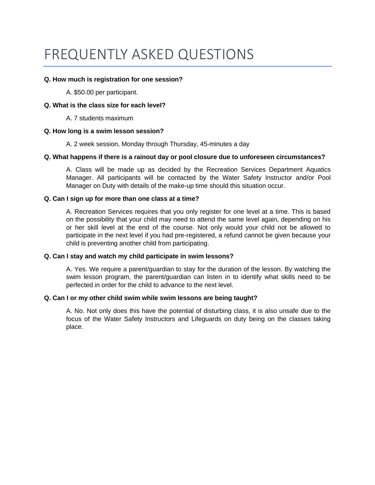## FREQUENTLY ASKED QUESTIONS

#### **Q. How much is registration for one session?**

A. \$50.00 per participant.

#### **Q. What is the class size for each level?**

A. 7 students maximum

#### **Q. How long is a swim lesson session?**

A. 2 week session, Monday through Thursday, 45-minutes a day

#### **Q. What happens if there is a rainout day or pool closure due to unforeseen circumstances?**

A. Class will be made up as decided by the Recreation Services Department Aquatics Manager. All participants will be contacted by the Water Safety Instructor and/or Pool Manager on Duty with details of the make-up time should this situation occur.

#### **Q. Can I sign up for more than one class at a time?**

A. Recreation Services requires that you only register for one level at a time. This is based on the possibility that your child may need to attend the same level again, depending on his or her skill level at the end of the course. Not only would your child not be allowed to participate in the next level if you had pre-registered, a refund cannot be given because your child is preventing another child from participating.

#### **Q. Can I stay and watch my child participate in swim lessons?**

A. Yes. We require a parent/guardian to stay for the duration of the lesson. By watching the swim lesson program, the parent/guardian can listen in to identify what skills need to be perfected in order for the child to advance to the next level.

#### **Q. Can I or my other child swim while swim lessons are being taught?**

A. No. Not only does this have the potential of disturbing class, it is also unsafe due to the focus of the Water Safety Instructors and Lifeguards on duty being on the classes taking place.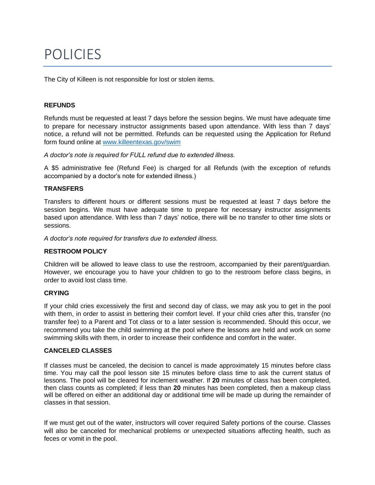## POLICIES

The City of Killeen is not responsible for lost or stolen items.

#### **REFUNDS**

Refunds must be requested at least 7 days before the session begins. We must have adequate time to prepare for necessary instructor assignments based upon attendance. With less than 7 days' notice, a refund will not be permitted. Refunds can be requested using the Application for Refund form found online at [www.killeentexas.gov/swim](http://www.killeentexas.gov/swim)

*A doctor's note is required for FULL refund due to extended illness.* 

A \$5 administrative fee (Refund Fee) is charged for all Refunds (with the exception of refunds accompanied by a doctor's note for extended illness.)

#### **TRANSFERS**

Transfers to different hours or different sessions must be requested at least 7 days before the session begins. We must have adequate time to prepare for necessary instructor assignments based upon attendance. With less than 7 days' notice, there will be no transfer to other time slots or sessions.

*A doctor's note required for transfers due to extended illness.* 

#### **RESTROOM POLICY**

Children will be allowed to leave class to use the restroom, accompanied by their parent/guardian. However, we encourage you to have your children to go to the restroom before class begins, in order to avoid lost class time.

#### **CRYING**

If your child cries excessively the first and second day of class, we may ask you to get in the pool with them, in order to assist in bettering their comfort level. If your child cries after this, transfer (no transfer fee) to a Parent and Tot class or to a later session is recommended. Should this occur, we recommend you take the child swimming at the pool where the lessons are held and work on some swimming skills with them, in order to increase their confidence and comfort in the water.

#### **CANCELED CLASSES**

If classes must be canceled, the decision to cancel is made approximately 15 minutes before class time. You may call the pool lesson site 15 minutes before class time to ask the current status of lessons. The pool will be cleared for inclement weather. If **20** minutes of class has been completed, then class counts as completed; if less than **20** minutes has been completed, then a makeup class will be offered on either an additional day or additional time will be made up during the remainder of classes in that session.

If we must get out of the water, instructors will cover required Safety portions of the course. Classes will also be canceled for mechanical problems or unexpected situations affecting health, such as feces or vomit in the pool.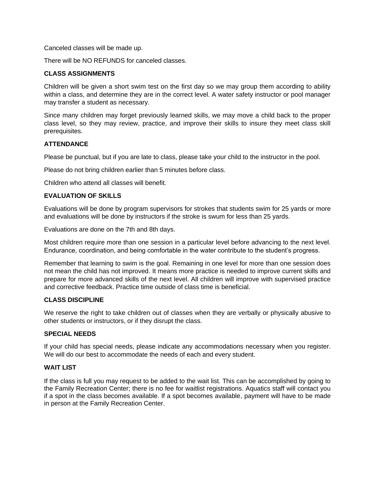Canceled classes will be made up.

There will be NO REFUNDS for canceled classes.

#### **CLASS ASSIGNMENTS**

Children will be given a short swim test on the first day so we may group them according to ability within a class, and determine they are in the correct level. A water safety instructor or pool manager may transfer a student as necessary.

Since many children may forget previously learned skills, we may move a child back to the proper class level, so they may review, practice, and improve their skills to insure they meet class skill prerequisites.

#### **ATTENDANCE**

Please be punctual, but if you are late to class, please take your child to the instructor in the pool.

Please do not bring children earlier than 5 minutes before class.

Children who attend all classes will benefit.

#### **EVALUATION OF SKILLS**

Evaluations will be done by program supervisors for strokes that students swim for 25 yards or more and evaluations will be done by instructors if the stroke is swum for less than 25 yards.

Evaluations are done on the 7th and 8th days.

Most children require more than one session in a particular level before advancing to the next level. Endurance, coordination, and being comfortable in the water contribute to the student's progress.

Remember that learning to swim is the goal. Remaining in one level for more than one session does not mean the child has not improved. It means more practice is needed to improve current skills and prepare for more advanced skills of the next level. All children will improve with supervised practice and corrective feedback. Practice time outside of class time is beneficial.

#### **CLASS DISCIPLINE**

We reserve the right to take children out of classes when they are verbally or physically abusive to other students or instructors, or if they disrupt the class.

#### **SPECIAL NEEDS**

If your child has special needs, please indicate any accommodations necessary when you register. We will do our best to accommodate the needs of each and every student.

#### **WAIT LIST**

If the class is full you may request to be added to the wait list. This can be accomplished by going to the Family Recreation Center; there is no fee for waitlist registrations. Aquatics staff will contact you if a spot in the class becomes available. If a spot becomes available, payment will have to be made in person at the Family Recreation Center.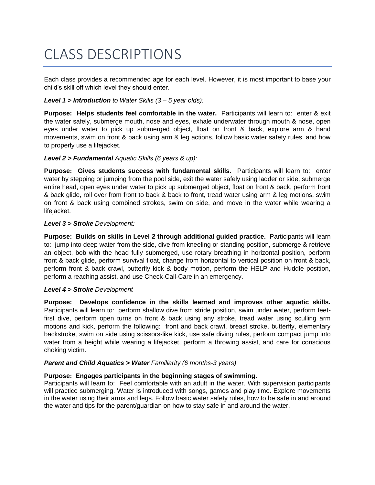# CLASS DESCRIPTIONS

Each class provides a recommended age for each level. However, it is most important to base your child's skill off which level they should enter.

#### *Level 1 > Introduction to Water Skills (3 – 5 year olds):*

**Purpose: Helps students feel comfortable in the water.** Participants will learn to: enter & exit the water safely, submerge mouth, nose and eyes, exhale underwater through mouth & nose, open eyes under water to pick up submerged object, float on front & back, explore arm & hand movements, swim on front & back using arm & leg actions, follow basic water safety rules, and how to properly use a lifejacket.

#### *Level 2 > Fundamental Aquatic Skills (6 years & up):*

**Purpose: Gives students success with fundamental skills.** Participants will learn to: enter water by stepping or jumping from the pool side, exit the water safely using ladder or side, submerge entire head, open eyes under water to pick up submerged object, float on front & back, perform front & back glide, roll over from front to back & back to front, tread water using arm & leg motions, swim on front & back using combined strokes, swim on side, and move in the water while wearing a lifejacket.

#### *Level 3 > Stroke Development:*

**Purpose: Builds on skills in Level 2 through additional guided practice.** Participants will learn to: jump into deep water from the side, dive from kneeling or standing position, submerge & retrieve an object, bob with the head fully submerged, use rotary breathing in horizontal position, perform front & back glide, perform survival float, change from horizontal to vertical position on front & back, perform front & back crawl, butterfly kick & body motion, perform the HELP and Huddle position, perform a reaching assist, and use Check-Call-Care in an emergency.

#### *Level 4 > Stroke Development*

**Purpose: Develops confidence in the skills learned and improves other aquatic skills.**  Participants will learn to: perform shallow dive from stride position, swim under water, perform feetfirst dive, perform open turns on front & back using any stroke, tread water using sculling arm motions and kick, perform the following: front and back crawl, breast stroke, butterfly, elementary backstroke, swim on side using scissors-like kick, use safe diving rules, perform compact jump into water from a height while wearing a lifejacket, perform a throwing assist, and care for conscious choking victim.

#### *Parent and Child Aquatics > Water Familiarity (6 months-3 years)*

#### **Purpose: Engages participants in the beginning stages of swimming.**

Participants will learn to: Feel comfortable with an adult in the water. With supervision participants will practice submerging. Water is introduced with songs, games and play time. Explore movements in the water using their arms and legs. Follow basic water safety rules, how to be safe in and around the water and tips for the parent/guardian on how to stay safe in and around the water.